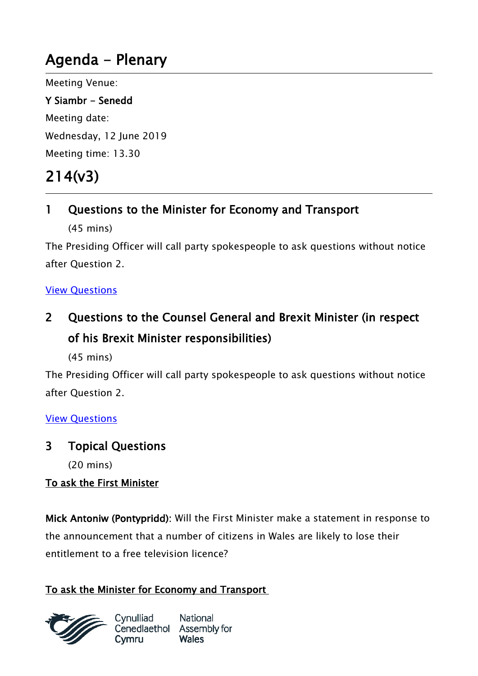# Agenda - Plenary

Meeting Venue:

Y Siambr - Senedd Meeting date: Wednesday, 12 June 2019 Meeting time: 13.30

# 214(v3)

# 1 Questions to the Minister for Economy and Transport

(45 mins)

The Presiding Officer will call party spokespeople to ask questions without notice after Question 2.

## [View Questions](http://record.assembly.wales/OrderPaper/OralQuestions/12-06-2019/)

# 2 Questions to the Counsel General and Brexit Minister (in respect of his Brexit Minister responsibilities)

(45 mins)

The Presiding Officer will call party spokespeople to ask questions without notice after Question 2.

## [View Questions](http://record.assembly.wales/OrderPaper/OralQuestions/12-06-2019/)

# 3 Topical Questions

(20 mins)

## To ask the First Minister

Mick Antoniw (Pontypridd): Will the First Minister make a statement in response to the announcement that a number of citizens in Wales are likely to lose their entitlement to a free television licence?

# To ask the Minister for Economy and Transport



Cynulliad Cvmru

National Cenedlaethol Assembly for **Wales**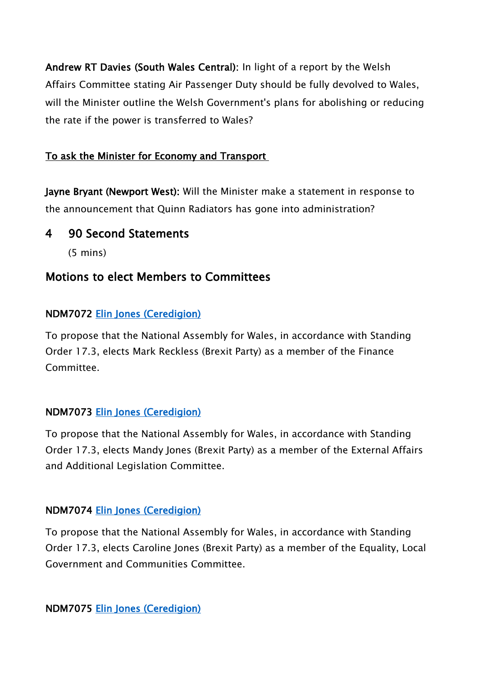Andrew RT Davies (South Wales Central): In light of a report by the Welsh Affairs Committee stating Air Passenger Duty should be fully devolved to Wales, will the Minister outline the Welsh Government's plans for abolishing or reducing the rate if the power is transferred to Wales?

#### To ask the Minister for Economy and Transport

Jayne Bryant (Newport West): Will the Minister make a statement in response to the announcement that Quinn Radiators has gone into administration?

## 4 90 Second Statements

(5 mins)

## Motions to elect Members to Committees

#### NDM7072 [Elin Jones \(Ceredigion\)](http://www.assembly.wales/en/memhome/Pages/MemberProfile.aspx?mid=162)

To propose that the National Assembly for Wales, in accordance with Standing Order 17.3, elects Mark Reckless (Brexit Party) as a member of the Finance Committee.

#### NDM7073 [Elin Jones \(Ceredigion\)](http://www.assembly.wales/en/memhome/Pages/MemberProfile.aspx?mid=162)

To propose that the National Assembly for Wales, in accordance with Standing Order 17.3, elects Mandy Jones (Brexit Party) as a member of the External Affairs and Additional Legislation Committee.

#### NDM7074 [Elin Jones \(Ceredigion\)](http://www.assembly.wales/en/memhome/Pages/MemberProfile.aspx?mid=162)

To propose that the National Assembly for Wales, in accordance with Standing Order 17.3, elects Caroline Jones (Brexit Party) as a member of the Equality, Local Government and Communities Committee.

NDM7075 [Elin Jones \(Ceredigion\)](http://www.assembly.wales/en/memhome/Pages/MemberProfile.aspx?mid=162)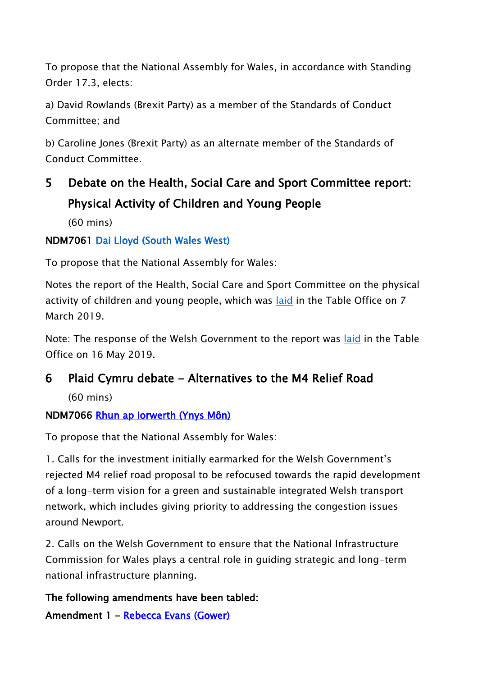To propose that the National Assembly for Wales, in accordance with Standing Order 17.3, elects:

a) David Rowlands (Brexit Party) as a member of the Standards of Conduct Committee; and

b) Caroline Jones (Brexit Party) as an alternate member of the Standards of Conduct Committee.

# 5 Debate on the Health, Social Care and Sport Committee report: Physical Activity of Children and Young People

(60 mins)

## NDM7061 [Dai Lloyd \(South Wales West\)](http://www.assembly.wales/en/memhome/Pages/MemberProfile.aspx?mid=167)

To propose that the National Assembly for Wales:

Notes the report of the Health, Social Care and Sport Committee on the physical activity of children and young people, which was [laid](http://www.assembly.wales/laid%20documents/cr-ld12369/cr-ld12369-e.pdf) in the Table Office on 7 March 2019.

Note: The response of the Welsh Government to the report was [laid](http://www.assembly.wales/laid%20documents/gen-ld12525/gen-ld12525-e.pdf) in the Table Office on 16 May 2019.

# 6 Plaid Cymru debate - Alternatives to the M4 Relief Road

(60 mins)

# NDM7066 [Rhun ap Iorwerth \(Ynys Môn\)](http://www.assembly.wales/en/memhome/Pages/MemberProfile.aspx?mid=2717)

To propose that the National Assembly for Wales:

1. Calls for the investment initially earmarked for the Welsh Government's rejected M4 relief road proposal to be refocused towards the rapid development of a long-term vision for a green and sustainable integrated Welsh transport network, which includes giving priority to addressing the congestion issues around Newport.

2. Calls on the Welsh Government to ensure that the National Infrastructure Commission for Wales plays a central role in guiding strategic and long-term national infrastructure planning.

The following amendments have been tabled: Amendment 1 - Rebecca Evans (Gower)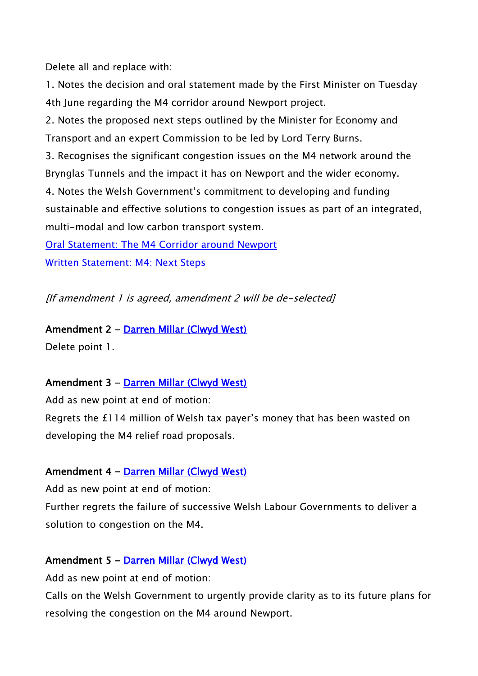Delete all and replace with:

1. Notes the decision and oral statement made by the First Minister on Tuesday 4th June regarding the M4 corridor around Newport project.

2. Notes the proposed next steps outlined by the Minister for Economy and Transport and an expert Commission to be led by Lord Terry Burns.

3. Recognises the significant congestion issues on the M4 network around the Brynglas Tunnels and the impact it has on Newport and the wider economy.

4. Notes the Welsh Government's commitment to developing and funding sustainable and effective solutions to congestion issues as part of an integrated, multi-modal and low carbon transport system.

[Oral Statement: The M4 Corridor around Newport](https://gov.wales/oral-statement-m4-corridor-around-newport) [Written Statement: M4: Next Steps](https://gov.wales/m4-newport-next-steps)

[If amendment 1 is agreed, amendment 2 will be de-selected]

Amendment 2 - [Darren Millar \(Clwyd West\)](http://www.assembly.wales/en/memhome/Pages/MemberProfile.aspx?mid=171)  Delete point 1.

#### Amendment 3 - [Darren Millar \(Clwyd West\)](http://www.assembly.wales/en/memhome/Pages/MemberProfile.aspx?mid=171)

Add as new point at end of motion: Regrets the £114 million of Welsh tax payer's money that has been wasted on developing the M4 relief road proposals.

#### Amendment 4 - [Darren Millar \(Clwyd West\)](http://www.assembly.wales/en/memhome/Pages/MemberProfile.aspx?mid=171)

Add as new point at end of motion:

Further regrets the failure of successive Welsh Labour Governments to deliver a solution to congestion on the M4.

#### Amendment 5 - [Darren Millar \(Clwyd West\)](http://www.assembly.wales/en/memhome/Pages/MemberProfile.aspx?mid=171)

Add as new point at end of motion:

Calls on the Welsh Government to urgently provide clarity as to its future plans for resolving the congestion on the M4 around Newport.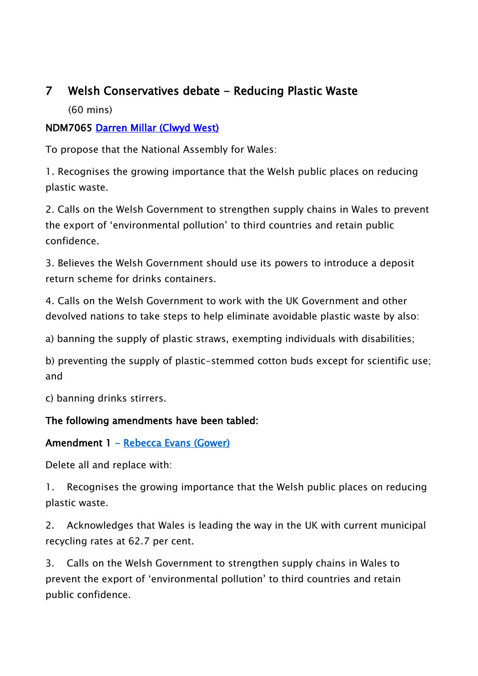# 7 Welsh Conservatives debate - Reducing Plastic Waste

(60 mins)

### NDM7065 [Darren Millar \(Clwyd West\)](http://www.assembly.wales/en/memhome/Pages/MemberProfile.aspx?mid=171)

To propose that the National Assembly for Wales:

1. Recognises the growing importance that the Welsh public places on reducing plastic waste.

2. Calls on the Welsh Government to strengthen supply chains in Wales to prevent the export of 'environmental pollution' to third countries and retain public confidence.

3. Believes the Welsh Government should use its powers to introduce a deposit return scheme for drinks containers.

4. Calls on the Welsh Government to work with the UK Government and other devolved nations to take steps to help eliminate avoidable plastic waste by also:

a) banning the supply of plastic straws, exempting individuals with disabilities;

b) preventing the supply of plastic-stemmed cotton buds except for scientific use; and

c) banning drinks stirrers.

#### The following amendments have been tabled:

## Amendment 1 - Rebecca Evans (Gower)

Delete all and replace with:

1. Recognises the growing importance that the Welsh public places on reducing plastic waste.

2. Acknowledges that Wales is leading the way in the UK with current municipal recycling rates at 62.7 per cent.

3. Calls on the Welsh Government to strengthen supply chains in Wales to prevent the export of 'environmental pollution' to third countries and retain public confidence.